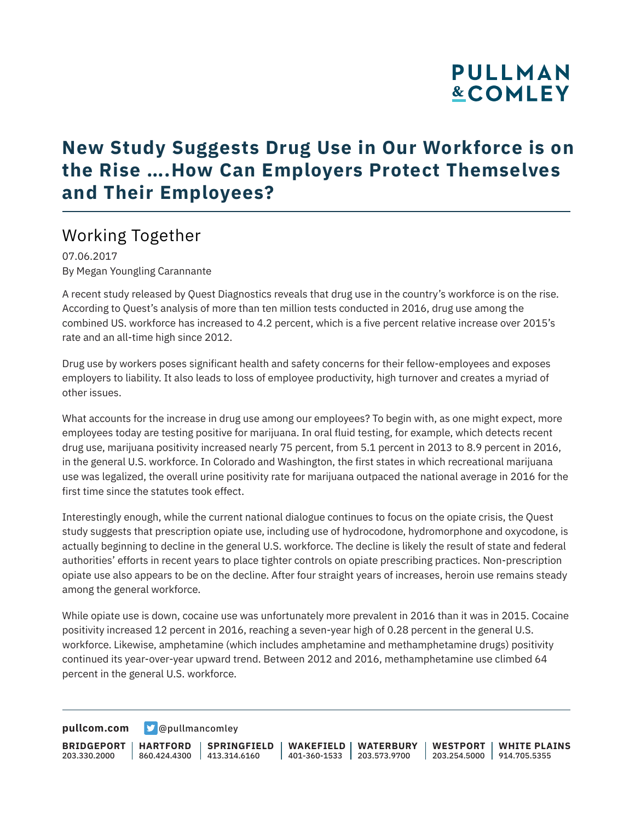# **PULLMAN &COMLEY**

## **New Study Suggests Drug Use in Our Workforce is on the Rise ….How Can Employers Protect Themselves and Their Employees?**

### Working Together

07.06.2017 By Megan Youngling Carannante

A recent study released by Quest Diagnostics reveals that drug use in the country's workforce is on the rise. According to Quest's analysis of more than ten million tests conducted in 2016, drug use among the combined US. workforce has increased to 4.2 percent, which is a five percent relative increase over 2015's rate and an all-time high since 2012.

Drug use by workers poses significant health and safety concerns for their fellow-employees and exposes employers to liability. It also leads to loss of employee productivity, high turnover and creates a myriad of other issues.

What accounts for the increase in drug use among our employees? To begin with, as one might expect, more employees today are testing positive for marijuana. In oral fluid testing, for example, which detects recent drug use, marijuana positivity increased nearly 75 percent, from 5.1 percent in 2013 to 8.9 percent in 2016, in the general U.S. workforce. In Colorado and Washington, the first states in which recreational marijuana use was legalized, the overall urine positivity rate for marijuana outpaced the national average in 2016 for the first time since the statutes took effect.

Interestingly enough, while the current national dialogue continues to focus on the opiate crisis, the Quest study suggests that prescription opiate use, including use of hydrocodone, hydromorphone and oxycodone, is actually beginning to decline in the general U.S. workforce. The decline is likely the result of state and federal authorities' efforts in recent years to place tighter controls on opiate prescribing practices. Non-prescription opiate use also appears to be on the decline. After four straight years of increases, heroin use remains steady among the general workforce.

While opiate use is down, cocaine use was unfortunately more prevalent in 2016 than it was in 2015. Cocaine positivity increased 12 percent in 2016, reaching a seven-year high of 0.28 percent in the general U.S. workforce. Likewise, amphetamine (which includes amphetamine and methamphetamine drugs) positivity continued its year-over-year upward trend. Between 2012 and 2016, methamphetamine use climbed 64 percent in the general U.S. workforce.

**[pullcom.com](https://www.pullcom.com) g** [@pullmancomley](https://twitter.com/PullmanComley)

**BRIDGEPORT** 203.330.2000

**HARTFORD** 860.424.4300 413.314.6160 **SPRINGFIELD**

**WAKEFIELD WATERBURY** 401-360-1533 203.573.9700

**WESTPORT WHITE PLAINS** 203.254.5000 914.705.5355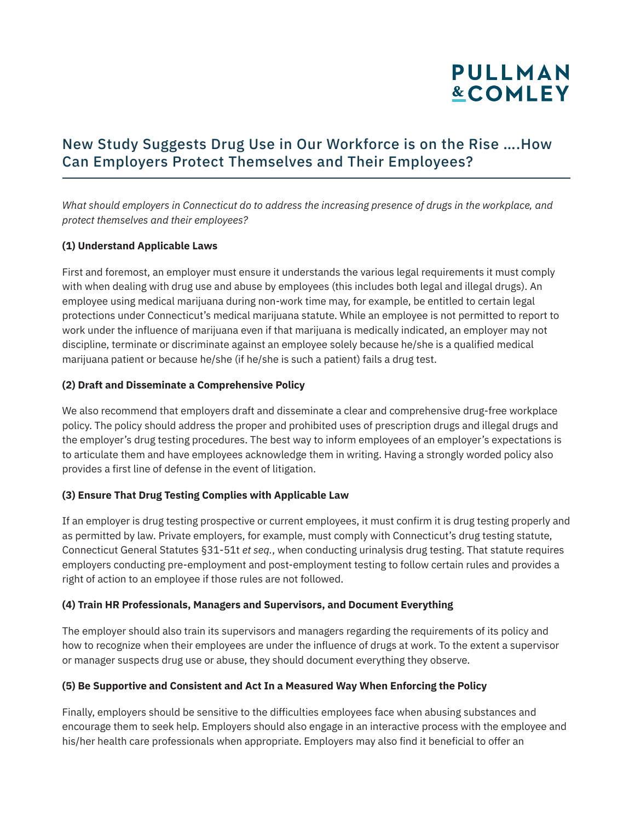# **PULLMAN &COMLEY**

### New Study Suggests Drug Use in Our Workforce is on the Rise ….How Can Employers Protect Themselves and Their Employees?

*What should employers in Connecticut do to address the increasing presence of drugs in the workplace, and protect themselves and their employees?*

#### **(1) Understand Applicable Laws**

First and foremost, an employer must ensure it understands the various legal requirements it must comply with when dealing with drug use and abuse by employees (this includes both legal and illegal drugs). An employee using medical marijuana during non-work time may, for example, be entitled to certain legal protections under Connecticut's medical marijuana statute. While an employee is not permitted to report to work under the influence of marijuana even if that marijuana is medically indicated, an employer may not discipline, terminate or discriminate against an employee solely because he/she is a qualified medical marijuana patient or because he/she (if he/she is such a patient) fails a drug test.

#### **(2) Draft and Disseminate a Comprehensive Policy**

We also recommend that employers draft and disseminate a clear and comprehensive drug-free workplace policy. The policy should address the proper and prohibited uses of prescription drugs and illegal drugs and the employer's drug testing procedures. The best way to inform employees of an employer's expectations is to articulate them and have employees acknowledge them in writing. Having a strongly worded policy also provides a first line of defense in the event of litigation.

#### **(3) Ensure That Drug Testing Complies with Applicable Law**

If an employer is drug testing prospective or current employees, it must confirm it is drug testing properly and as permitted by law. Private employers, for example, must comply with Connecticut's drug testing statute, Connecticut General Statutes §31-51t *et seq.*, when conducting urinalysis drug testing. That statute requires employers conducting pre-employment and post-employment testing to follow certain rules and provides a right of action to an employee if those rules are not followed.

#### **(4) Train HR Professionals, Managers and Supervisors, and Document Everything**

The employer should also train its supervisors and managers regarding the requirements of its policy and how to recognize when their employees are under the influence of drugs at work. To the extent a supervisor or manager suspects drug use or abuse, they should document everything they observe.

#### **(5) Be Supportive and Consistent and Act In a Measured Way When Enforcing the Policy**

Finally, employers should be sensitive to the difficulties employees face when abusing substances and encourage them to seek help. Employers should also engage in an interactive process with the employee and his/her health care professionals when appropriate. Employers may also find it beneficial to offer an